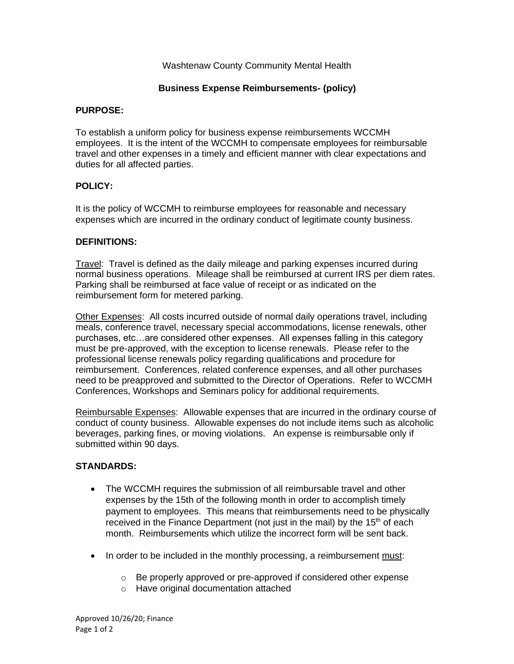### Washtenaw County Community Mental Health

### **Business Expense Reimbursements- (policy)**

#### **PURPOSE:**

To establish a uniform policy for business expense reimbursements WCCMH employees. It is the intent of the WCCMH to compensate employees for reimbursable travel and other expenses in a timely and efficient manner with clear expectations and duties for all affected parties.

### **POLICY:**

It is the policy of WCCMH to reimburse employees for reasonable and necessary expenses which are incurred in the ordinary conduct of legitimate county business.

# **DEFINITIONS:**

Travel: Travel is defined as the daily mileage and parking expenses incurred during normal business operations. Mileage shall be reimbursed at current IRS per diem rates. Parking shall be reimbursed at face value of receipt or as indicated on the reimbursement form for metered parking.

Other Expenses: All costs incurred outside of normal daily operations travel, including meals, conference travel, necessary special accommodations, license renewals, other purchases, etc…are considered other expenses. All expenses falling in this category must be pre-approved, with the exception to license renewals. Please refer to the professional license renewals policy regarding qualifications and procedure for reimbursement. Conferences, related conference expenses, and all other purchases need to be preapproved and submitted to the Director of Operations. Refer to WCCMH Conferences, Workshops and Seminars policy for additional requirements.

Reimbursable Expenses: Allowable expenses that are incurred in the ordinary course of conduct of county business. Allowable expenses do not include items such as alcoholic beverages, parking fines, or moving violations. An expense is reimbursable only if submitted within 90 days.

### **STANDARDS:**

- The WCCMH requires the submission of all reimbursable travel and other expenses by the 15th of the following month in order to accomplish timely payment to employees. This means that reimbursements need to be physically received in the Finance Department (not just in the mail) by the 15<sup>th</sup> of each month. Reimbursements which utilize the incorrect form will be sent back.
- In order to be included in the monthly processing, a reimbursement must:
	- o Be properly approved or pre-approved if considered other expense
	- o Have original documentation attached